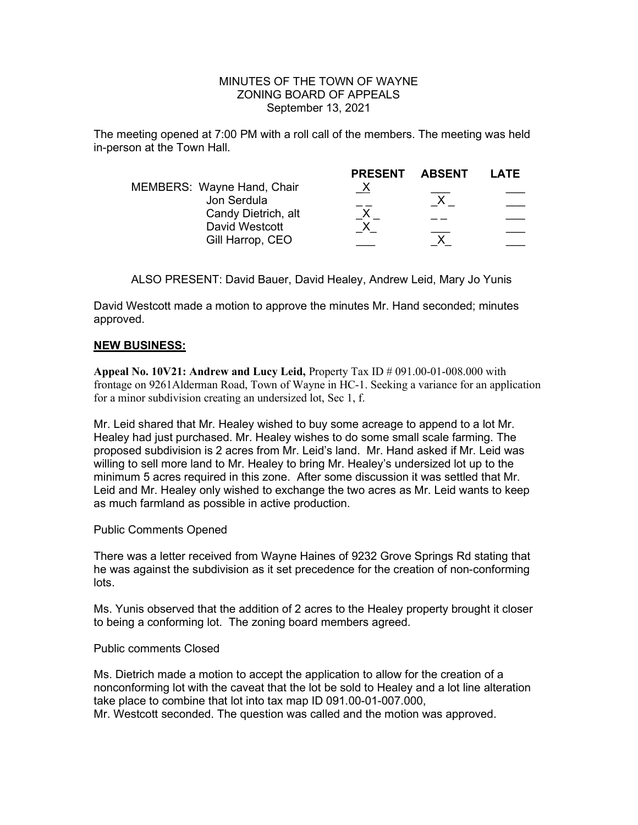### MINUTES OF THE TOWN OF WAYNE ZONING BOARD OF APPEALS September 13, 2021

The meeting opened at 7:00 PM with a roll call of the members. The meeting was held in-person at the Town Hall.

|                                           | <b>PRESENT</b> | <b>ABSENT</b> | LATE |
|-------------------------------------------|----------------|---------------|------|
| MEMBERS: Wayne Hand, Chair<br>Jon Serdula |                |               |      |
| Candy Dietrich, alt<br>David Westcott     |                |               |      |
| Gill Harrop, CEO                          |                |               |      |

ALSO PRESENT: David Bauer, David Healey, Andrew Leid, Mary Jo Yunis

David Westcott made a motion to approve the minutes Mr. Hand seconded; minutes approved.

### NEW BUSINESS:

Appeal No.  $10V21$ : Andrew and Lucy Leid, Property Tax ID  $\#$  091.00-01-008.000 with frontage on 9261Alderman Road, Town of Wayne in HC-1. Seeking a variance for an application for a minor subdivision creating an undersized lot, Sec 1, f.

Mr. Leid shared that Mr. Healey wished to buy some acreage to append to a lot Mr. Healey had just purchased. Mr. Healey wishes to do some small scale farming. The proposed subdivision is 2 acres from Mr. Leid's land. Mr. Hand asked if Mr. Leid was willing to sell more land to Mr. Healey to bring Mr. Healey's undersized lot up to the minimum 5 acres required in this zone. After some discussion it was settled that Mr. Leid and Mr. Healey only wished to exchange the two acres as Mr. Leid wants to keep as much farmland as possible in active production.

Public Comments Opened

There was a letter received from Wayne Haines of 9232 Grove Springs Rd stating that he was against the subdivision as it set precedence for the creation of non-conforming lots.

Ms. Yunis observed that the addition of 2 acres to the Healey property brought it closer to being a conforming lot. The zoning board members agreed.

### Public comments Closed

Ms. Dietrich made a motion to accept the application to allow for the creation of a nonconforming lot with the caveat that the lot be sold to Healey and a lot line alteration take place to combine that lot into tax map ID 091.00-01-007.000, Mr. Westcott seconded. The question was called and the motion was approved.